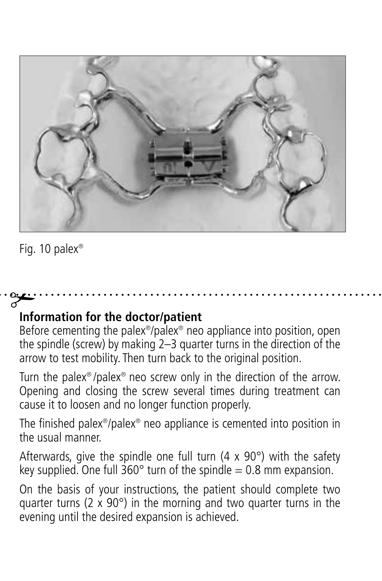

Fig. 10 palex®

# **Information for the doctor/patient** #

Before cementing the palex®/palex® neo appliance into position, open the spindle (screw) by making 2–3 quarter turns in the direction of the arrow to test mobility. Then turn back to the original position.

Turn the palex® /palex® neo screw only in the direction of the arrow. Opening and closing the screw several times during treatment can cause it to loosen and no longer function properly.

The finished palex®/palex® neo appliance is cemented into position in the usual manner.

Afterwards, give the spindle one full turn  $(4 \times 90^\circ)$  with the safety key supplied. One full 360° turn of the spindle = 0.8 mm expansion.

On the basis of your instructions, the patient should complete two quarter turns (2  $\times$  90 $^{\circ}$ ) in the morning and two quarter turns in the evening until the desired expansion is achieved.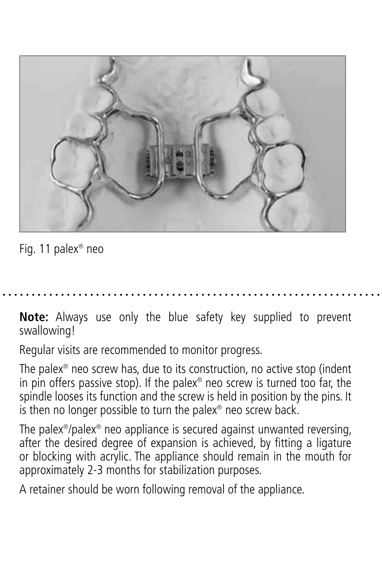

Fig. 11 palex® neo

**Note:** Always use only the blue safety key supplied to prevent swallowing!

Regular visits are recommended to monitor progress.

The palex® neo screw has, due to its construction, no active stop (indent in pin offers passive stop). If the palex® neo screw is turned too far, the spindle looses its function and the screw is held in position by the pins. It is then no longer possible to turn the palex® neo screw back.

The palex®/palex® neo appliance is secured against unwanted reversing, after the desired degree of expansion is achieved, by fitting a ligature or blocking with acrylic. The appliance should remain in the mouth for approximately 2-3 months for stabilization purposes.

A retainer should be worn following removal of the appliance.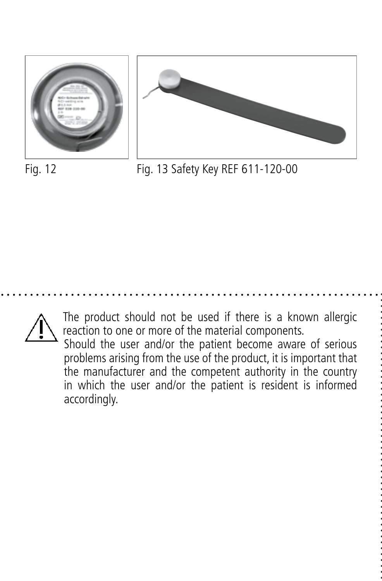



Fig. 12 Fig. 13 Safety Key REF 611-120-00



The product should not be used if there is a known allergic reaction to one or more of the material components.

 Should the user and/or the patient become aware of serious problems arising from the use of the product, it is important that the manufacturer and the competent authority in the country in which the user and/or the patient is resident is informed accordingly.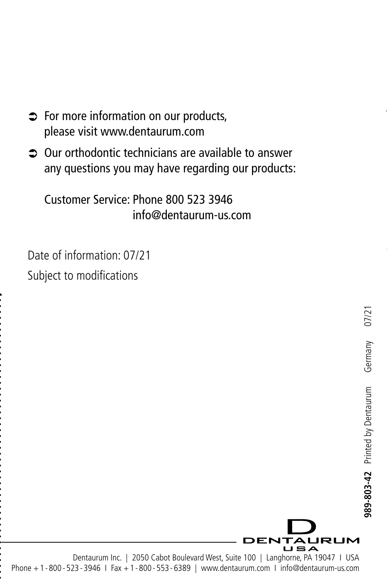- $\Rightarrow$  For more information on our products, please visit www.dentaurum.com
- Â Our orthodontic technicians are available to answer any questions you may have regarding our products:

Customer Service: Phone 800 523 3946 info@dentaurum-us.com

Date of information: 07/21 Subject to modifications



Dentaurum Inc. | 2050 Cabot Boulevard West, Suite 100 | Langhorne, PA 19047 | USA Phone +1 - 800 - 523 - 3946 I Fax +1 - 800 - 553 - 6389 | www.dentaurum.com I info@dentaurum-us.com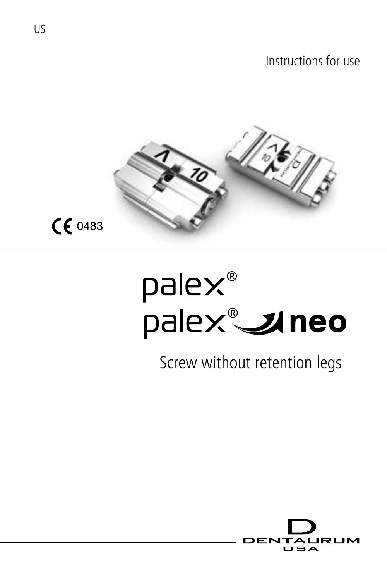

# pale $\times^{\circ}$ .<br>palex®**\_\_uneo**

# Screw without retention legs



US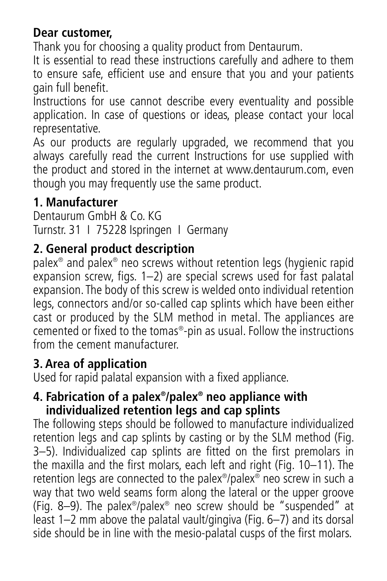#### **Dear customer,**

Thank you for choosing a quality product from Dentaurum.

It is essential to read these instructions carefully and adhere to them to ensure safe, efficient use and ensure that you and your patients gain full benefit.

Instructions for use cannot describe every eventuality and possible application. In case of questions or ideas, please contact your local representative.

As our products are regularly upgraded, we recommend that you always carefully read the current Instructions for use supplied with the product and stored in the internet at www.dentaurum.com, even though you may frequently use the same product.

#### **1. Manufacturer**

Dentaurum GmbH & Co. KG Turnstr. 31 I 75228 Ispringen I Germany

#### **2. General product description**

palex® and palex® neo screws without retention legs (hygienic rapid expansion screw, figs. 1–2) are special screws used for fast palatal expansion. The body of this screw is welded onto individual retention legs, connectors and/or so-called cap splints which have been either cast or produced by the SLM method in metal. The appliances are cemented or fixed to the tomas®-pin as usual. Follow the instructions from the cement manufacturer.

#### **3. Area of application**

Used for rapid palatal expansion with a fixed appliance.

#### **4. Fabrication of a palex®/palex® neo appliance with individualized retention legs and cap splints**

The following steps should be followed to manufacture individualized retention legs and cap splints by casting or by the SLM method (Fig. 3–5). Individualized cap splints are fitted on the first premolars in the maxilla and the first molars, each left and right (Fig. 10–11). The retention legs are connected to the palex®/palex® neo screw in such a way that two weld seams form along the lateral or the upper groove (Fig. 8–9). The palex®/palex® neo screw should be "suspended" at least 1–2 mm above the palatal vault/gingiva (Fig. 6–7) and its dorsal side should be in line with the mesio-palatal cusps of the first molars.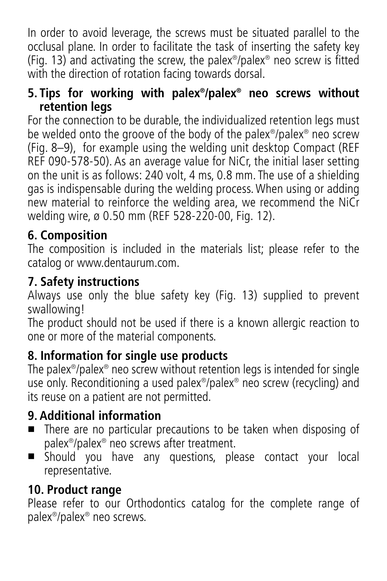In order to avoid leverage, the screws must be situated parallel to the occlusal plane. In order to facilitate the task of inserting the safety key (Fig. 13) and activating the screw, the palex®/palex® neo screw is fitted with the direction of rotation facing towards dorsal.

#### **5. Tips for working with palex®/palex® neo screws without retention legs**

For the connection to be durable, the individualized retention legs must be welded onto the groove of the body of the palex®/palex® neo screw (Fig. 8–9), for example using the welding unit desktop Compact (REF REF 090-578-50). As an average value for NiCr, the initial laser setting on the unit is as follows: 240 volt, 4 ms, 0.8 mm. The use of a shielding gas is indispensable during the welding process. When using or adding new material to reinforce the welding area, we recommend the NiCr welding wire, ø 0.50 mm (REF 528-220-00, Fig. 12).

#### **6. Composition**

The composition is included in the materials list; please refer to the catalog or www.dentaurum.com.

#### **7. Safety instructions**

Always use only the blue safety key (Fig. 13) supplied to prevent swallowing!

The product should not be used if there is a known allergic reaction to one or more of the material components.

#### **8. Information for single use products**

The palex<sup>®</sup>/palex<sup>®</sup> neo screw without retention legs is intended for single use only. Reconditioning a used palex®/palex® neo screw (recycling) and its reuse on a patient are not permitted.

#### **9. Additional information**

- There are no particular precautions to be taken when disposing of palex®/palex® neo screws after treatment.
- Should you have any questions, please contact your local representative.

#### **10. Product range**

Please refer to our Orthodontics catalog for the complete range of palex®/palex® neo screws.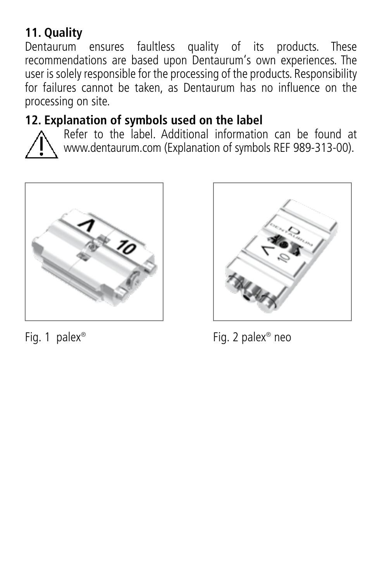### **11. Quality**

Dentaurum ensures faultless quality of its products. These recommendations are based upon Dentaurum's own experiences. The user is solely responsible for the processing of the products. Responsibility for failures cannot be taken, as Dentaurum has no influence on the processing on site.

#### **12. Explanation of symbols used on the label**



Refer to the label. Additional information can be found at www.dentaurum.com (Explanation of symbols REF 989-313-00).





Fig. 1 palex<sup>®</sup> Fig. 2 palex<sup>®</sup> neo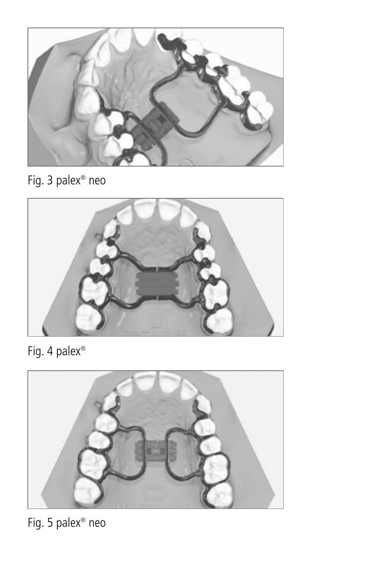

Fig. 3 palex® neo



Fig. 4 palex®



Fig. 5 palex® neo